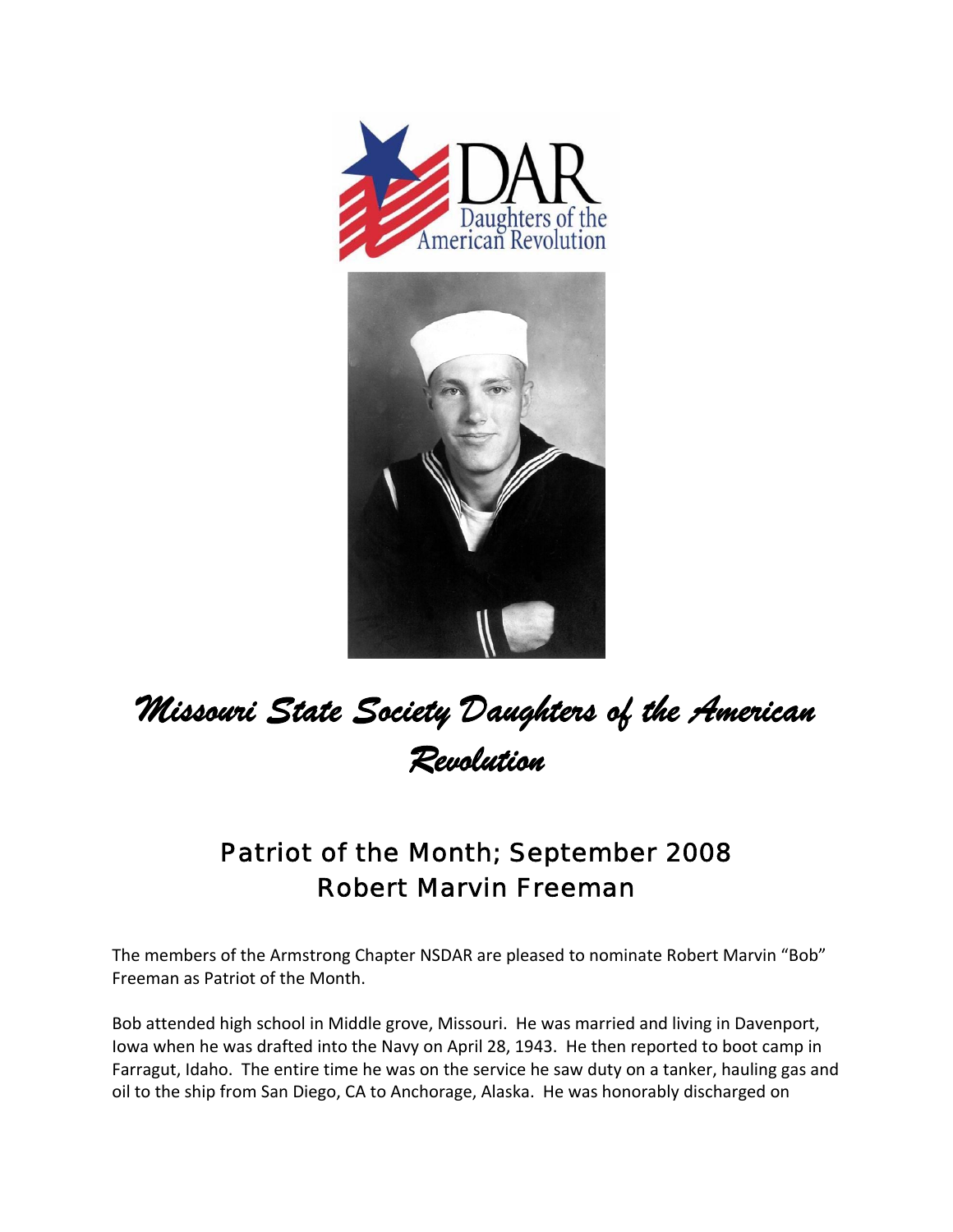



## *Missouri State Society Daughters of the American Revolution*

## Patriot of the Month; September 2008 Robert Marvin Freeman

The members of the Armstrong Chapter NSDAR are pleased to nominate Robert Marvin "Bob" Freeman as Patriot of the Month.

Bob attended high school in Middle grove, Missouri. He was married and living in Davenport, Iowa when he was drafted into the Navy on April 28, 1943. He then reported to boot camp in Farragut, Idaho. The entire time he was on the service he saw duty on a tanker, hauling gas and oil to the ship from San Diego, CA to Anchorage, Alaska. He was honorably discharged on